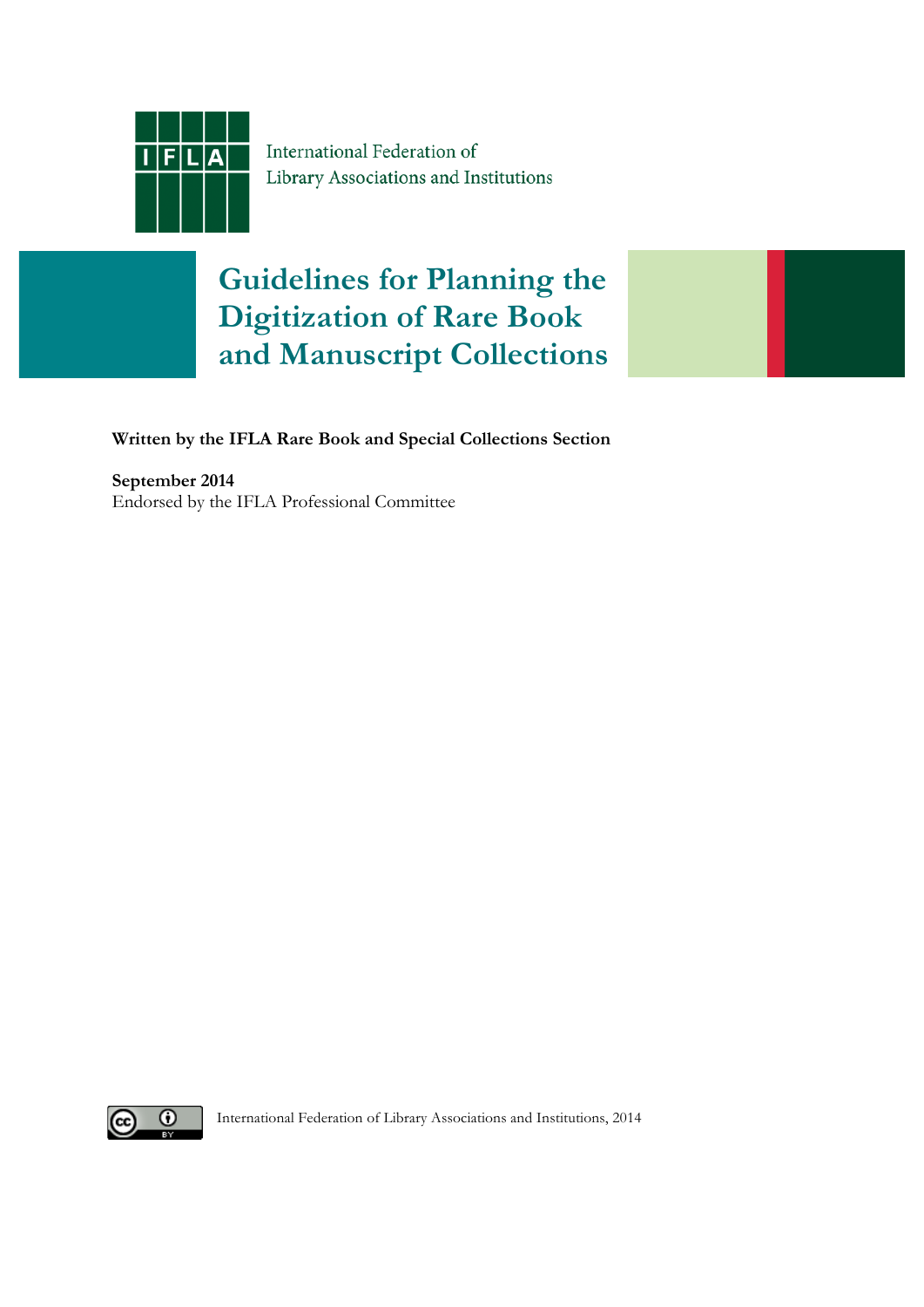

International Federation of Library Associations and Institutions

# **Guidelines for Planning the Digitization of Rare Book and Manuscript Collections**

**Written by the IFLA Rare Book and Special Collections Section**

**September 2014** Endorsed by the IFLA Professional Committee



International Federation of Library Associations and Institutions, 2014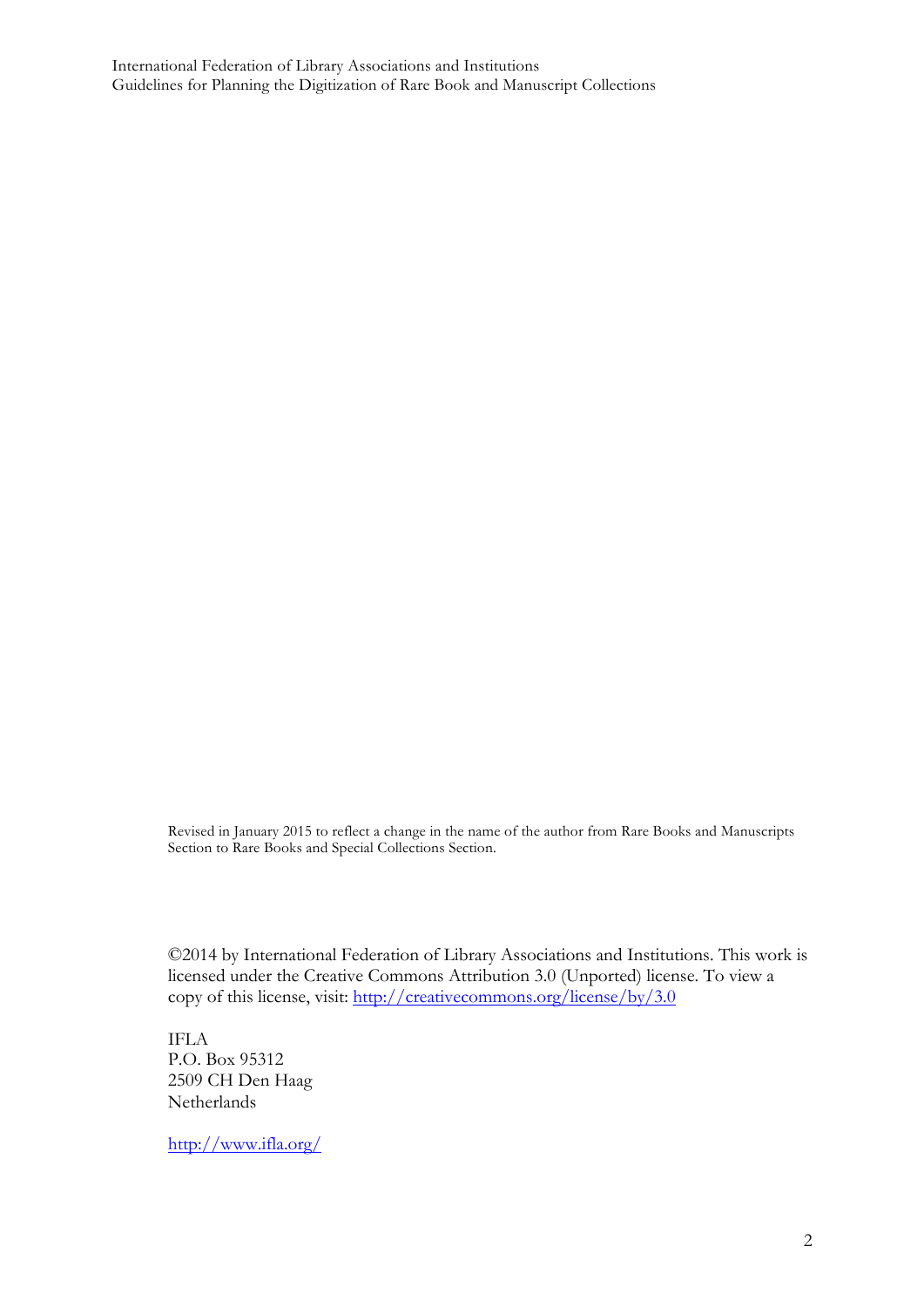International Federation of Library Associations and Institutions Guidelines for Planning the Digitization of Rare Book and Manuscript Collections

> Revised in January 2015 to reflect a change in the name of the author from Rare Books and Manuscripts Section to Rare Books and Special Collections Section.

©2014 by International Federation of Library Associations and Institutions. This work is licensed under the Creative Commons Attribution 3.0 (Unported) license. To view a copy of this license, visit: http://creativecommons.org/license/by/3.0

IFLA P.O. Box 95312 2509 CH Den Haag Netherlands

http://www.ifla.org/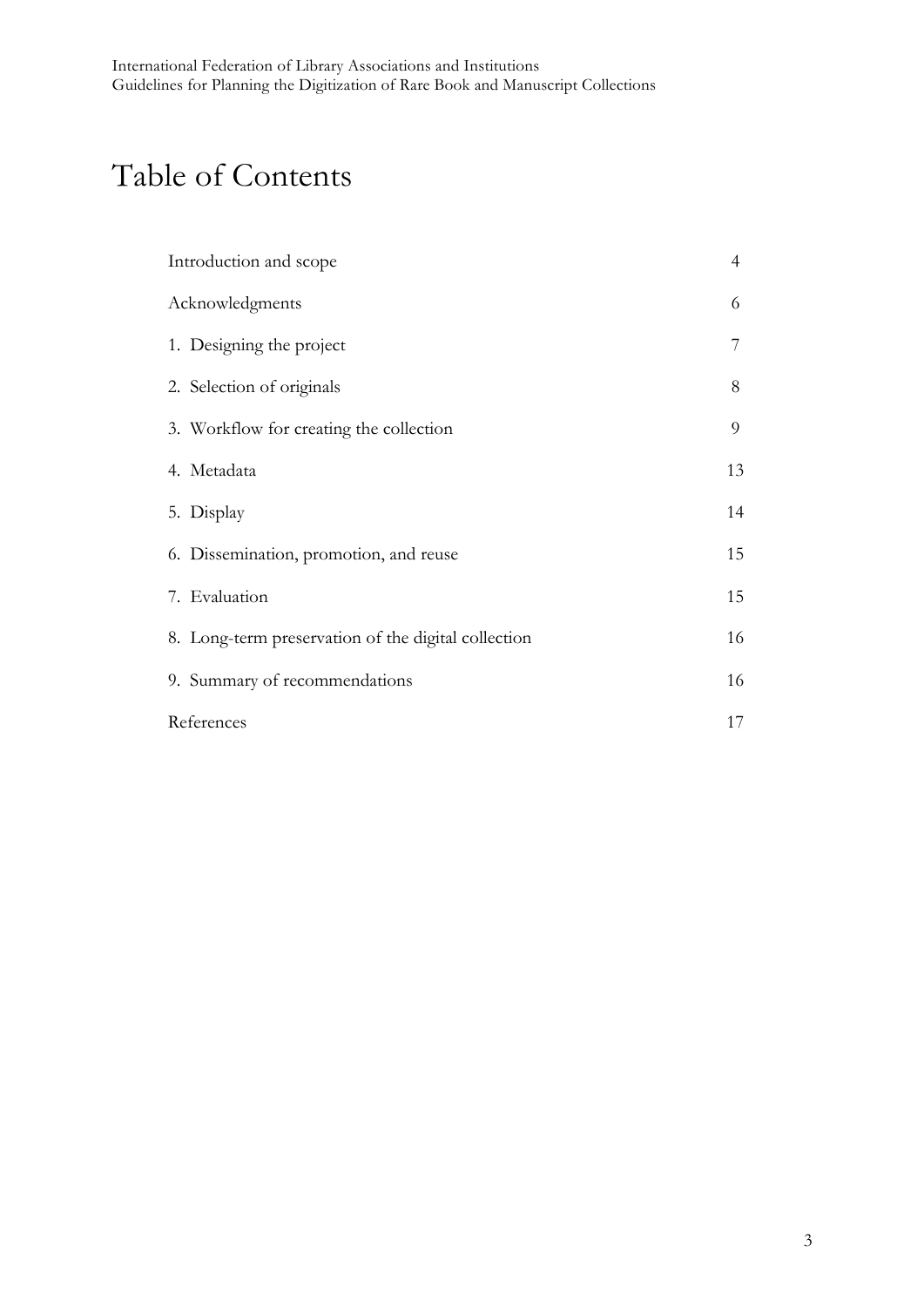# Table of Contents

| Introduction and scope                              | $\overline{4}$ |
|-----------------------------------------------------|----------------|
| Acknowledgments                                     | 6              |
| 1. Designing the project                            |                |
| 2. Selection of originals                           | 8              |
| 3. Workflow for creating the collection             | 9              |
| 4. Metadata                                         | 13             |
| 5. Display                                          | 14             |
| 6. Dissemination, promotion, and reuse              | 15             |
| 7. Evaluation                                       | 15             |
| 8. Long-term preservation of the digital collection | 16             |
| 9. Summary of recommendations                       | 16             |
| References                                          | 17             |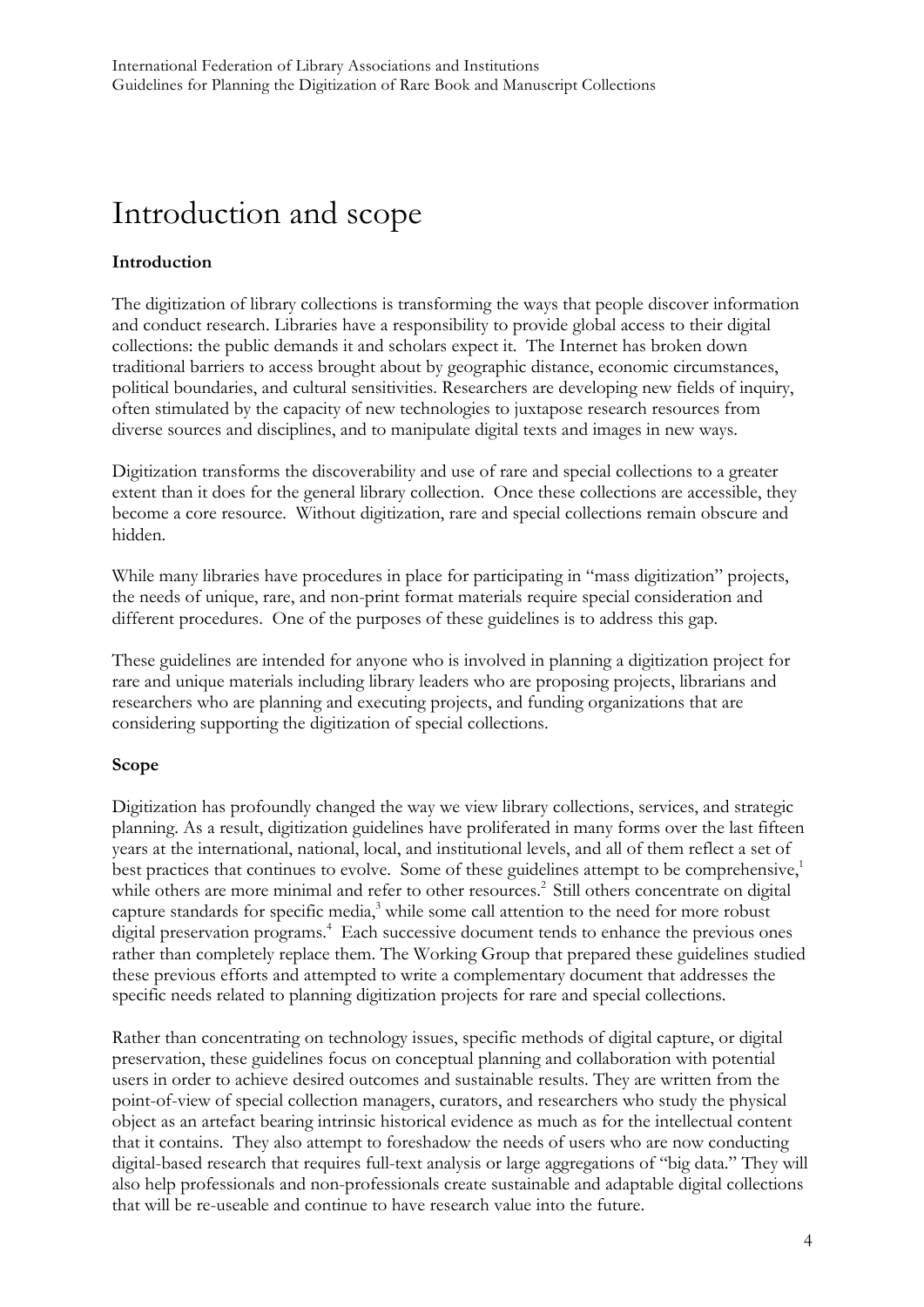## Introduction and scope

#### **Introduction**

The digitization of library collections is transforming the ways that people discover information and conduct research. Libraries have a responsibility to provide global access to their digital collections: the public demands it and scholars expect it. The Internet has broken down traditional barriers to access brought about by geographic distance, economic circumstances, political boundaries, and cultural sensitivities. Researchers are developing new fields of inquiry, often stimulated by the capacity of new technologies to juxtapose research resources from diverse sources and disciplines, and to manipulate digital texts and images in new ways.

Digitization transforms the discoverability and use of rare and special collections to a greater extent than it does for the general library collection. Once these collections are accessible, they become a core resource. Without digitization, rare and special collections remain obscure and hidden.

While many libraries have procedures in place for participating in "mass digitization" projects, the needs of unique, rare, and non-print format materials require special consideration and different procedures. One of the purposes of these guidelines is to address this gap.

These guidelines are intended for anyone who is involved in planning a digitization project for rare and unique materials including library leaders who are proposing projects, librarians and researchers who are planning and executing projects, and funding organizations that are considering supporting the digitization of special collections.

#### **Scope**

Digitization has profoundly changed the way we view library collections, services, and strategic planning. As a result, digitization guidelines have proliferated in many forms over the last fifteen years at the international, national, local, and institutional levels, and all of them reflect a set of best practices that continues to evolve. Some of these guidelines attempt to be comprehensive,<sup>1</sup> while others are more minimal and refer to other resources.<sup>2</sup> Still others concentrate on digital capture standards for specific media, <sup>3</sup> while some call attention to the need for more robust digital preservation programs.<sup>4</sup> Each successive document tends to enhance the previous ones rather than completely replace them. The Working Group that prepared these guidelines studied these previous efforts and attempted to write a complementary document that addresses the specific needs related to planning digitization projects for rare and special collections.

Rather than concentrating on technology issues, specific methods of digital capture, or digital preservation, these guidelines focus on conceptual planning and collaboration with potential users in order to achieve desired outcomes and sustainable results. They are written from the point-of-view of special collection managers, curators, and researchers who study the physical object as an artefact bearing intrinsic historical evidence as much as for the intellectual content that it contains. They also attempt to foreshadow the needs of users who are now conducting digital-based research that requires full-text analysis or large aggregations of "big data." They will also help professionals and non-professionals create sustainable and adaptable digital collections that will be re-useable and continue to have research value into the future.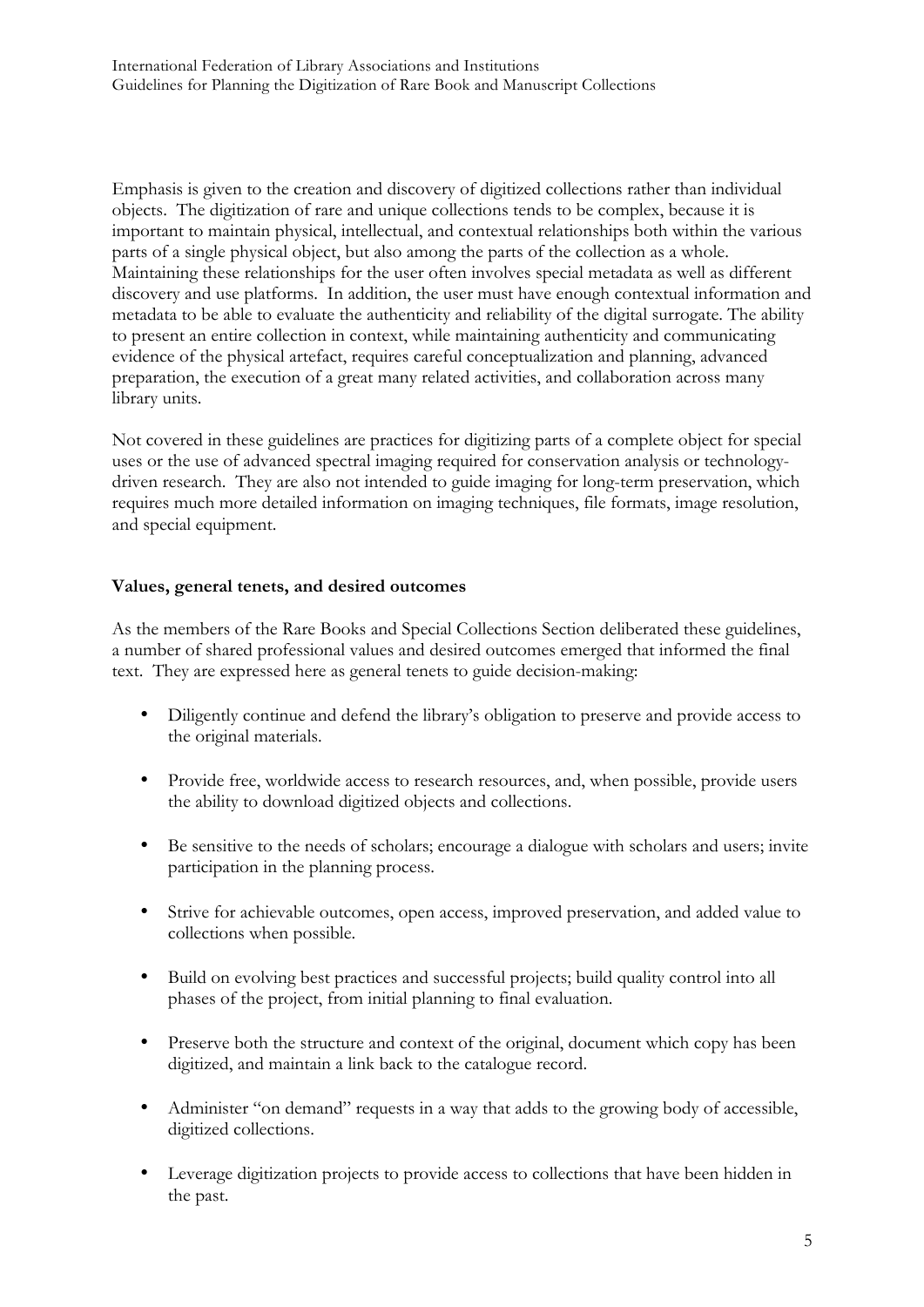Emphasis is given to the creation and discovery of digitized collections rather than individual objects. The digitization of rare and unique collections tends to be complex, because it is important to maintain physical, intellectual, and contextual relationships both within the various parts of a single physical object, but also among the parts of the collection as a whole. Maintaining these relationships for the user often involves special metadata as well as different discovery and use platforms. In addition, the user must have enough contextual information and metadata to be able to evaluate the authenticity and reliability of the digital surrogate. The ability to present an entire collection in context, while maintaining authenticity and communicating evidence of the physical artefact, requires careful conceptualization and planning, advanced preparation, the execution of a great many related activities, and collaboration across many library units.

Not covered in these guidelines are practices for digitizing parts of a complete object for special uses or the use of advanced spectral imaging required for conservation analysis or technologydriven research. They are also not intended to guide imaging for long-term preservation, which requires much more detailed information on imaging techniques, file formats, image resolution, and special equipment.

#### **Values, general tenets, and desired outcomes**

As the members of the Rare Books and Special Collections Section deliberated these guidelines, a number of shared professional values and desired outcomes emerged that informed the final text. They are expressed here as general tenets to guide decision-making:

- Diligently continue and defend the library's obligation to preserve and provide access to the original materials.
- Provide free, worldwide access to research resources, and, when possible, provide users the ability to download digitized objects and collections.
- Be sensitive to the needs of scholars; encourage a dialogue with scholars and users; invite participation in the planning process.
- Strive for achievable outcomes, open access, improved preservation, and added value to collections when possible.
- Build on evolving best practices and successful projects; build quality control into all phases of the project, from initial planning to final evaluation.
- Preserve both the structure and context of the original, document which copy has been digitized, and maintain a link back to the catalogue record.
- Administer "on demand" requests in a way that adds to the growing body of accessible, digitized collections.
- Leverage digitization projects to provide access to collections that have been hidden in the past.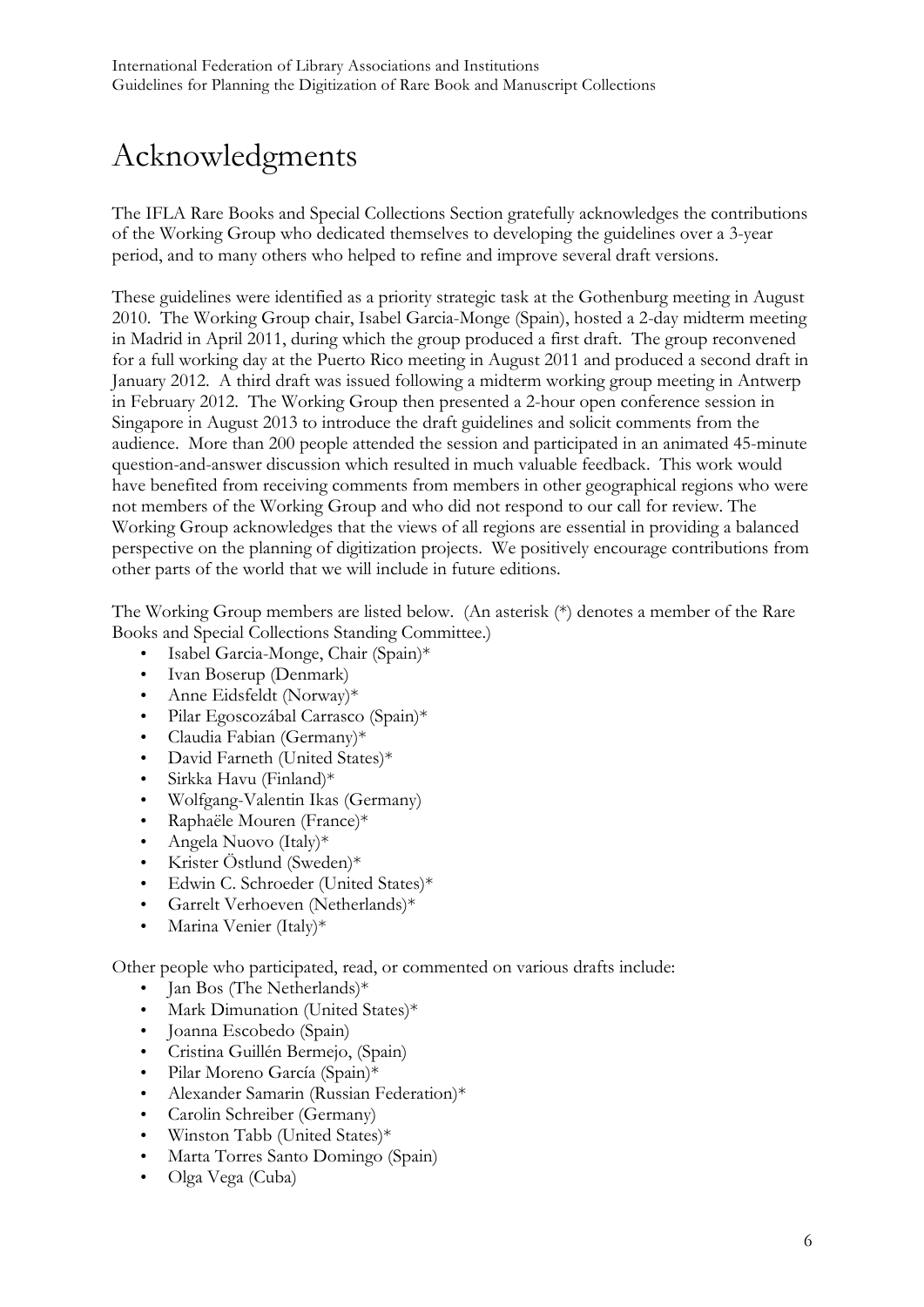# Acknowledgments

The IFLA Rare Books and Special Collections Section gratefully acknowledges the contributions of the Working Group who dedicated themselves to developing the guidelines over a 3-year period, and to many others who helped to refine and improve several draft versions.

These guidelines were identified as a priority strategic task at the Gothenburg meeting in August 2010. The Working Group chair, Isabel Garcia-Monge (Spain), hosted a 2-day midterm meeting in Madrid in April 2011, during which the group produced a first draft. The group reconvened for a full working day at the Puerto Rico meeting in August 2011 and produced a second draft in January 2012. A third draft was issued following a midterm working group meeting in Antwerp in February 2012. The Working Group then presented a 2-hour open conference session in Singapore in August 2013 to introduce the draft guidelines and solicit comments from the audience. More than 200 people attended the session and participated in an animated 45-minute question-and-answer discussion which resulted in much valuable feedback. This work would have benefited from receiving comments from members in other geographical regions who were not members of the Working Group and who did not respond to our call for review. The Working Group acknowledges that the views of all regions are essential in providing a balanced perspective on the planning of digitization projects. We positively encourage contributions from other parts of the world that we will include in future editions.

The Working Group members are listed below. (An asterisk (\*) denotes a member of the Rare Books and Special Collections Standing Committee.)

- Isabel Garcia-Monge, Chair (Spain)\*
- Ivan Boserup (Denmark)
- Anne Eidsfeldt (Norway)\*
- Pilar Egoscozábal Carrasco (Spain)\*
- Claudia Fabian (Germany)\*
- David Farneth (United States)\*
- Sirkka Havu (Finland)\*
- Wolfgang-Valentin Ikas (Germany)
- Raphaële Mouren (France)\*
- Angela Nuovo (Italy)\*
- Krister Östlund (Sweden)\*
- Edwin C. Schroeder (United States)\*
- Garrelt Verhoeven (Netherlands)\*
- Marina Venier (Italy)\*

Other people who participated, read, or commented on various drafts include:

- Jan Bos (The Netherlands)\*
- Mark Dimunation (United States)\*
- Joanna Escobedo (Spain)
- Cristina Guillén Bermejo, (Spain)
- Pilar Moreno García (Spain)\*
- Alexander Samarin (Russian Federation)\*
- Carolin Schreiber (Germany)
- Winston Tabb (United States)\*
- Marta Torres Santo Domingo (Spain)
- Olga Vega (Cuba)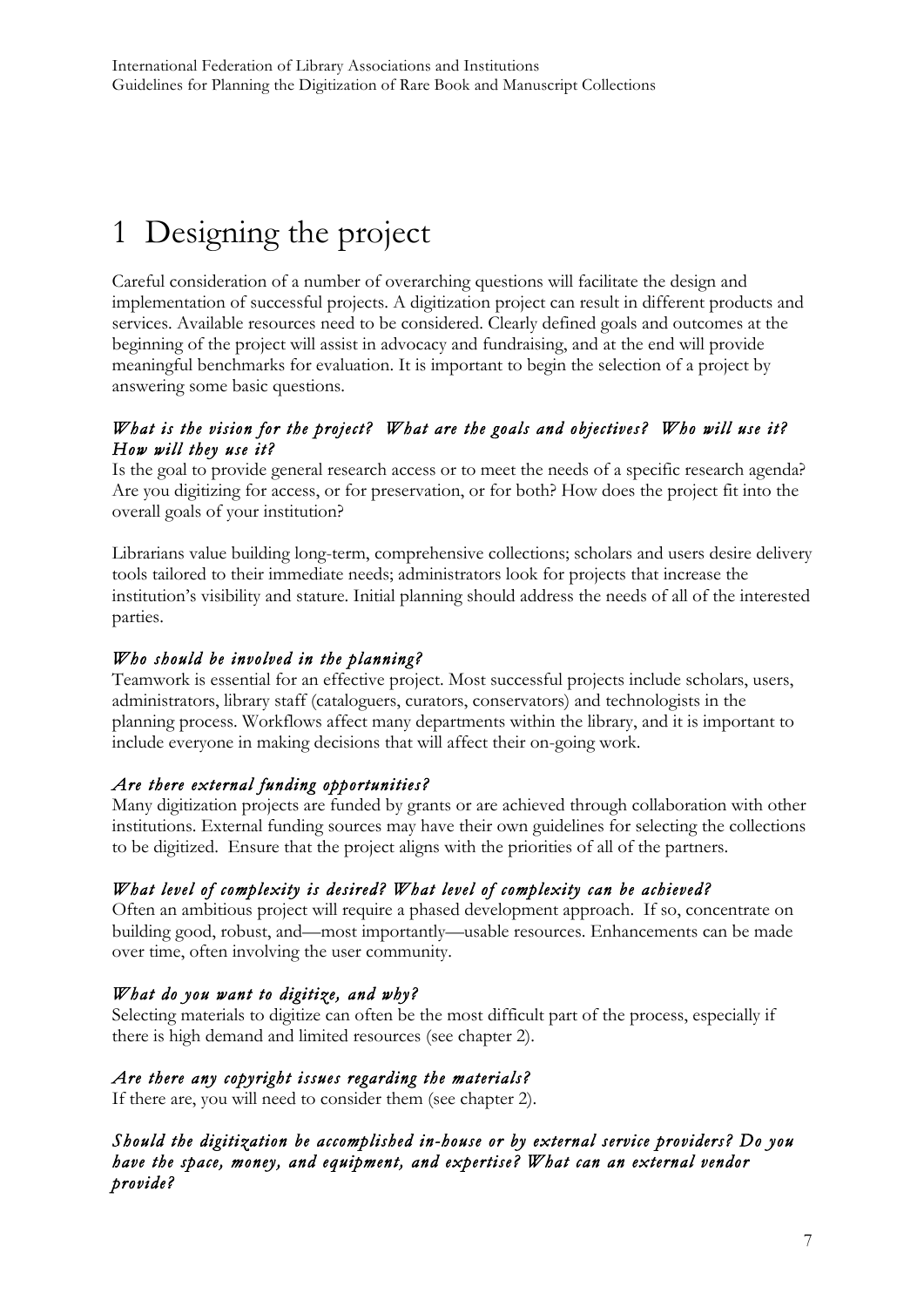# 1 Designing the project

Careful consideration of a number of overarching questions will facilitate the design and implementation of successful projects. A digitization project can result in different products and services. Available resources need to be considered. Clearly defined goals and outcomes at the beginning of the project will assist in advocacy and fundraising, and at the end will provide meaningful benchmarks for evaluation. It is important to begin the selection of a project by answering some basic questions.

### *What is the vision for the project? What are the goals and objectives? Who will use it? How will they use it?*

Is the goal to provide general research access or to meet the needs of a specific research agenda? Are you digitizing for access, or for preservation, or for both? How does the project fit into the overall goals of your institution?

Librarians value building long-term, comprehensive collections; scholars and users desire delivery tools tailored to their immediate needs; administrators look for projects that increase the institution's visibility and stature. Initial planning should address the needs of all of the interested parties.

### *Who should be involved in the planning?*

Teamwork is essential for an effective project. Most successful projects include scholars, users, administrators, library staff (cataloguers, curators, conservators) and technologists in the planning process. Workflows affect many departments within the library, and it is important to include everyone in making decisions that will affect their on-going work.

#### *Are there external funding opportunities?*

Many digitization projects are funded by grants or are achieved through collaboration with other institutions. External funding sources may have their own guidelines for selecting the collections to be digitized. Ensure that the project aligns with the priorities of all of the partners.

### *What level of complexity is desired? What level of complexity can be achieved?*

Often an ambitious project will require a phased development approach. If so, concentrate on building good, robust, and—most importantly—usable resources. Enhancements can be made over time, often involving the user community.

#### *What do you want to digitize, and why?*

Selecting materials to digitize can often be the most difficult part of the process, especially if there is high demand and limited resources (see chapter 2).

#### *Are there any copyright issues regarding the materials?*

If there are, you will need to consider them (see chapter 2).

*Should the digitization be accomplished in-house or by external service providers? Do you have the space, money, and equipment, and expertise? What can an external vendor provide?*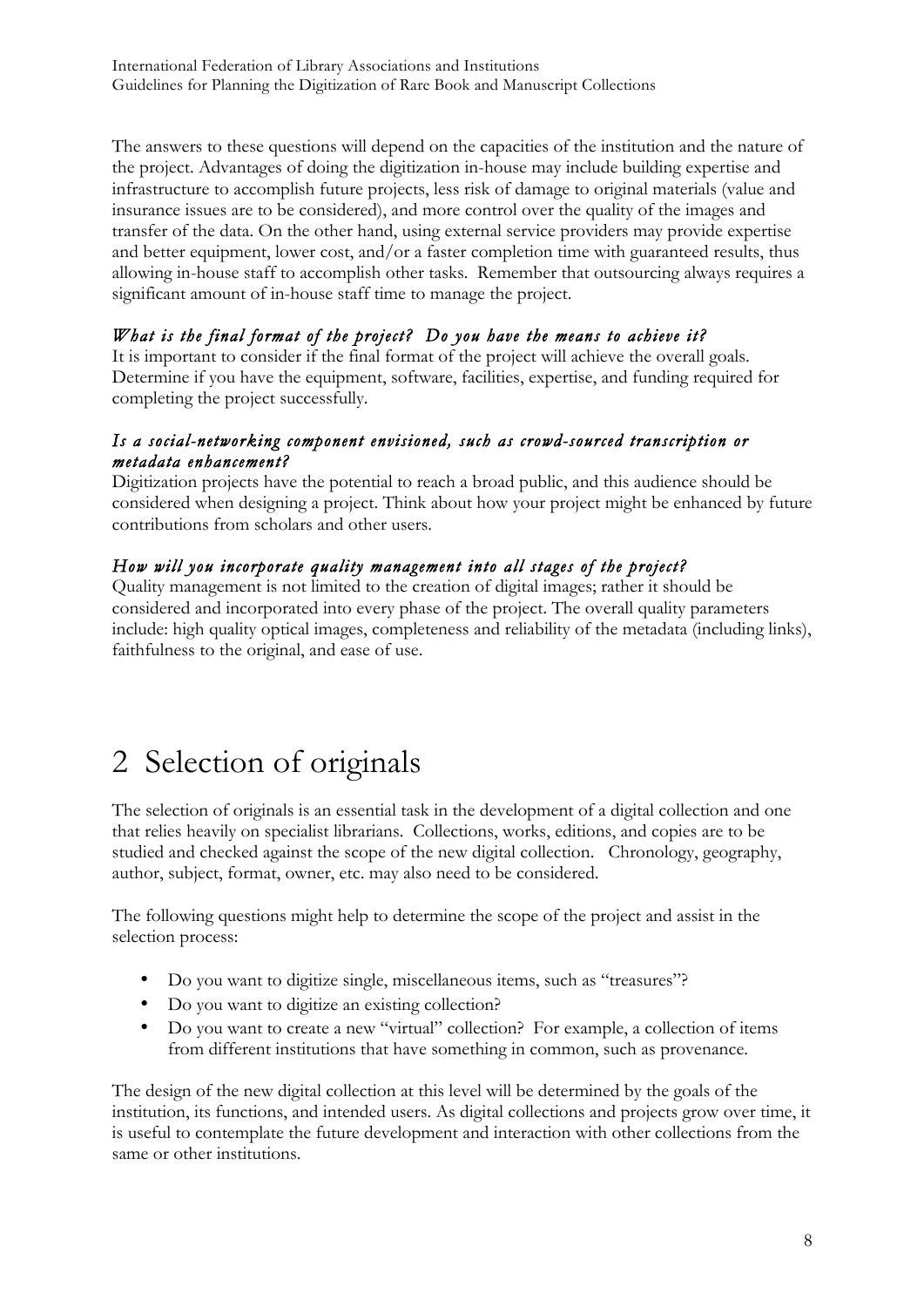The answers to these questions will depend on the capacities of the institution and the nature of the project. Advantages of doing the digitization in-house may include building expertise and infrastructure to accomplish future projects, less risk of damage to original materials (value and insurance issues are to be considered), and more control over the quality of the images and transfer of the data. On the other hand, using external service providers may provide expertise and better equipment, lower cost, and/or a faster completion time with guaranteed results, thus allowing in-house staff to accomplish other tasks. Remember that outsourcing always requires a significant amount of in-house staff time to manage the project.

### *What is the final format of the project? Do you have the means to achieve it?*

It is important to consider if the final format of the project will achieve the overall goals. Determine if you have the equipment, software, facilities, expertise, and funding required for completing the project successfully.

#### *Is a social-networking component envisioned, such as crowd-sourced transcription or metadata enhancement?*

Digitization projects have the potential to reach a broad public, and this audience should be considered when designing a project. Think about how your project might be enhanced by future contributions from scholars and other users.

### *How will you incorporate quality management into all stages of the project?*

Quality management is not limited to the creation of digital images; rather it should be considered and incorporated into every phase of the project. The overall quality parameters include: high quality optical images, completeness and reliability of the metadata (including links), faithfulness to the original, and ease of use.

# 2 Selection of originals

The selection of originals is an essential task in the development of a digital collection and one that relies heavily on specialist librarians. Collections, works, editions, and copies are to be studied and checked against the scope of the new digital collection. Chronology, geography, author, subject, format, owner, etc. may also need to be considered.

The following questions might help to determine the scope of the project and assist in the selection process:

- Do you want to digitize single, miscellaneous items, such as "treasures"?
- Do you want to digitize an existing collection?
- Do you want to create a new "virtual" collection? For example, a collection of items from different institutions that have something in common, such as provenance.

The design of the new digital collection at this level will be determined by the goals of the institution, its functions, and intended users. As digital collections and projects grow over time, it is useful to contemplate the future development and interaction with other collections from the same or other institutions.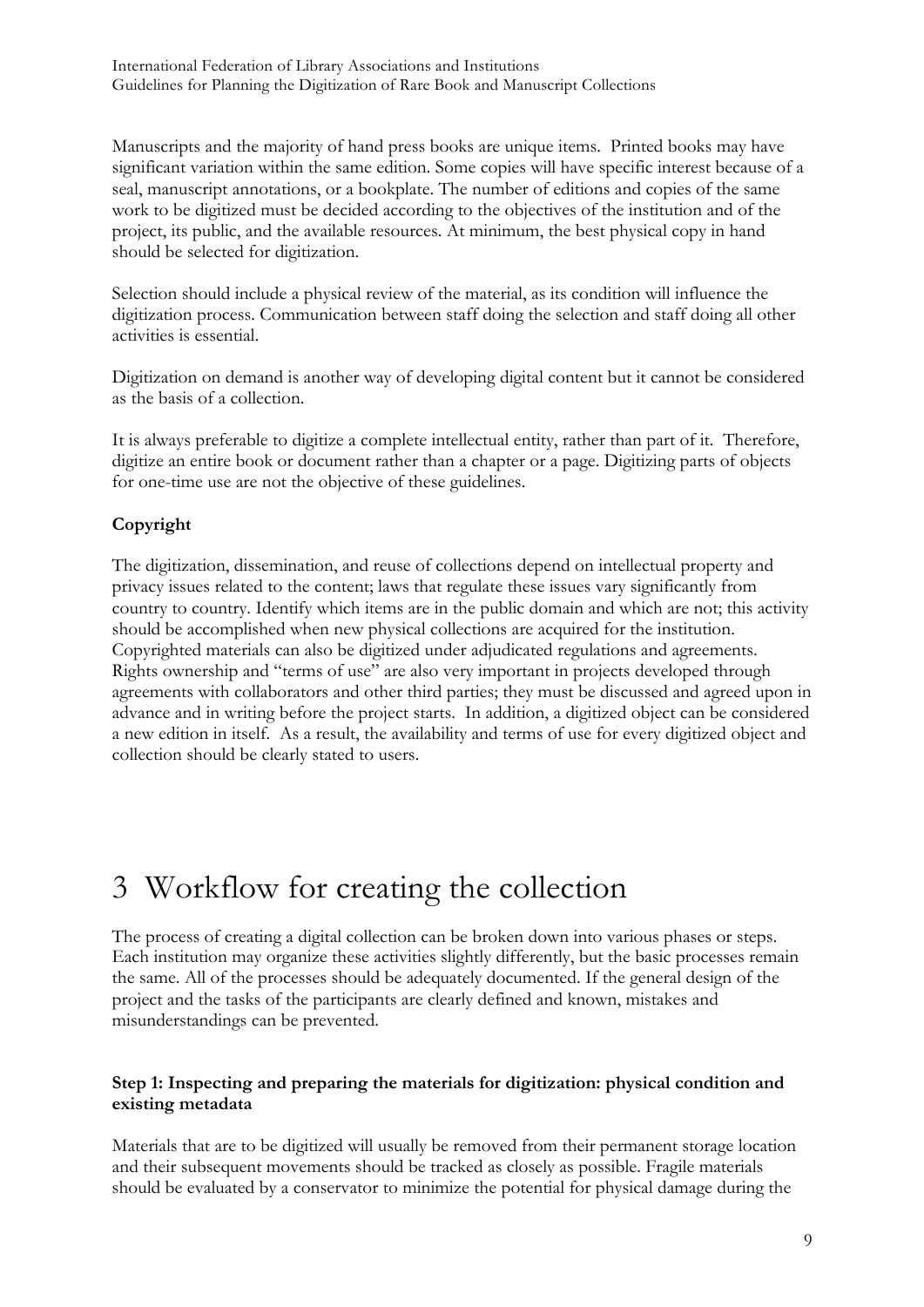Manuscripts and the majority of hand press books are unique items. Printed books may have significant variation within the same edition. Some copies will have specific interest because of a seal, manuscript annotations, or a bookplate. The number of editions and copies of the same work to be digitized must be decided according to the objectives of the institution and of the project, its public, and the available resources. At minimum, the best physical copy in hand should be selected for digitization.

Selection should include a physical review of the material, as its condition will influence the digitization process. Communication between staff doing the selection and staff doing all other activities is essential.

Digitization on demand is another way of developing digital content but it cannot be considered as the basis of a collection.

It is always preferable to digitize a complete intellectual entity, rather than part of it. Therefore, digitize an entire book or document rather than a chapter or a page. Digitizing parts of objects for one-time use are not the objective of these guidelines.

### **Copyright**

The digitization, dissemination, and reuse of collections depend on intellectual property and privacy issues related to the content; laws that regulate these issues vary significantly from country to country. Identify which items are in the public domain and which are not; this activity should be accomplished when new physical collections are acquired for the institution. Copyrighted materials can also be digitized under adjudicated regulations and agreements. Rights ownership and "terms of use" are also very important in projects developed through agreements with collaborators and other third parties; they must be discussed and agreed upon in advance and in writing before the project starts. In addition, a digitized object can be considered a new edition in itself. As a result, the availability and terms of use for every digitized object and collection should be clearly stated to users.

## 3 Workflow for creating the collection

The process of creating a digital collection can be broken down into various phases or steps. Each institution may organize these activities slightly differently, but the basic processes remain the same. All of the processes should be adequately documented. If the general design of the project and the tasks of the participants are clearly defined and known, mistakes and misunderstandings can be prevented.

#### **Step 1: Inspecting and preparing the materials for digitization: physical condition and existing metadata**

Materials that are to be digitized will usually be removed from their permanent storage location and their subsequent movements should be tracked as closely as possible. Fragile materials should be evaluated by a conservator to minimize the potential for physical damage during the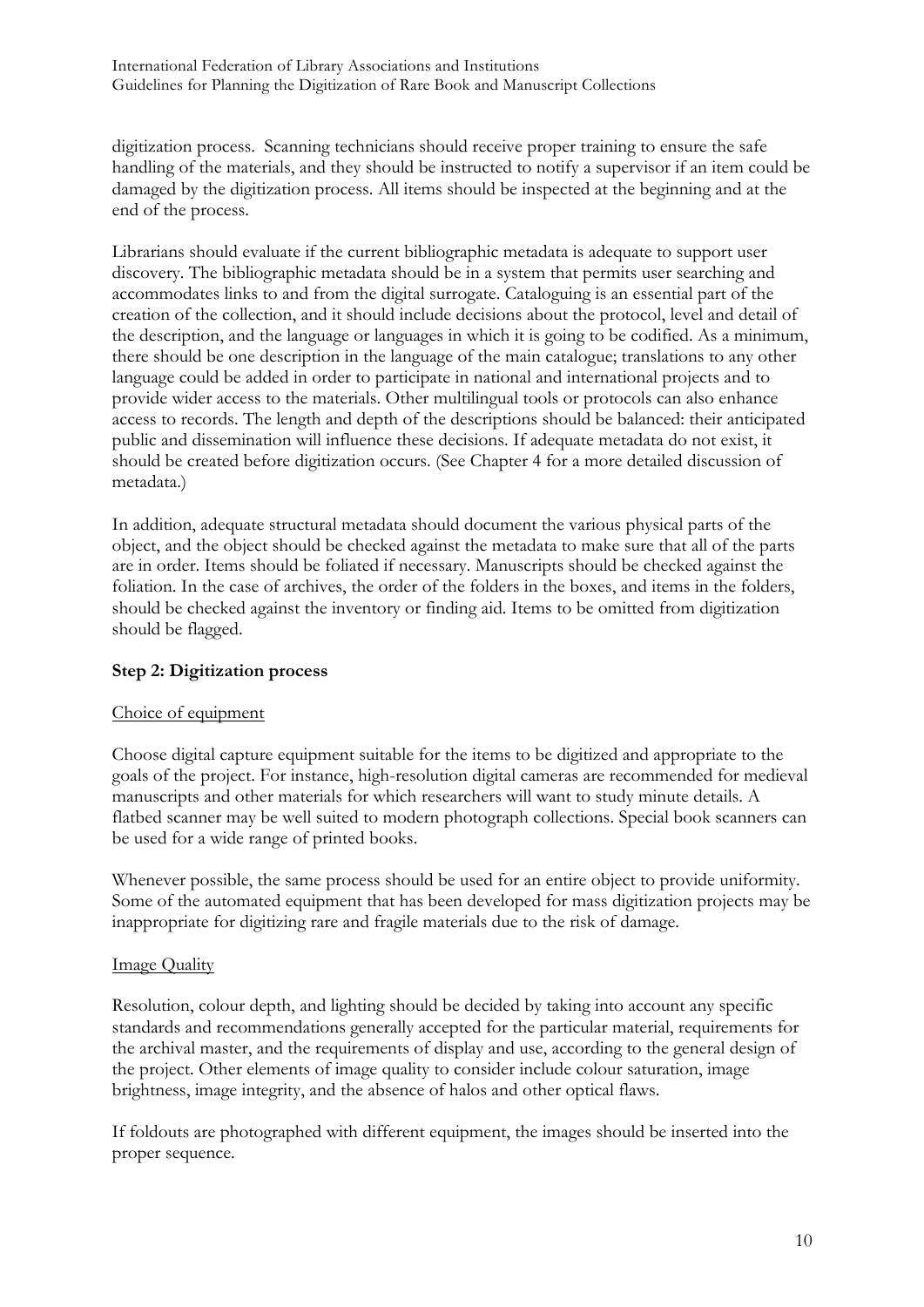digitization process. Scanning technicians should receive proper training to ensure the safe handling of the materials, and they should be instructed to notify a supervisor if an item could be damaged by the digitization process. All items should be inspected at the beginning and at the end of the process.

Librarians should evaluate if the current bibliographic metadata is adequate to support user discovery. The bibliographic metadata should be in a system that permits user searching and accommodates links to and from the digital surrogate. Cataloguing is an essential part of the creation of the collection, and it should include decisions about the protocol, level and detail of the description, and the language or languages in which it is going to be codified. As a minimum, there should be one description in the language of the main catalogue; translations to any other language could be added in order to participate in national and international projects and to provide wider access to the materials. Other multilingual tools or protocols can also enhance access to records. The length and depth of the descriptions should be balanced: their anticipated public and dissemination will influence these decisions. If adequate metadata do not exist, it should be created before digitization occurs. (See Chapter 4 for a more detailed discussion of metadata.)

In addition, adequate structural metadata should document the various physical parts of the object, and the object should be checked against the metadata to make sure that all of the parts are in order. Items should be foliated if necessary. Manuscripts should be checked against the foliation. In the case of archives, the order of the folders in the boxes, and items in the folders, should be checked against the inventory or finding aid. Items to be omitted from digitization should be flagged.

#### **Step 2: Digitization process**

#### Choice of equipment

Choose digital capture equipment suitable for the items to be digitized and appropriate to the goals of the project. For instance, high-resolution digital cameras are recommended for medieval manuscripts and other materials for which researchers will want to study minute details. A flatbed scanner may be well suited to modern photograph collections. Special book scanners can be used for a wide range of printed books.

Whenever possible, the same process should be used for an entire object to provide uniformity. Some of the automated equipment that has been developed for mass digitization projects may be inappropriate for digitizing rare and fragile materials due to the risk of damage.

#### Image Quality

Resolution, colour depth, and lighting should be decided by taking into account any specific standards and recommendations generally accepted for the particular material, requirements for the archival master, and the requirements of display and use, according to the general design of the project. Other elements of image quality to consider include colour saturation, image brightness, image integrity, and the absence of halos and other optical flaws.

If foldouts are photographed with different equipment, the images should be inserted into the proper sequence.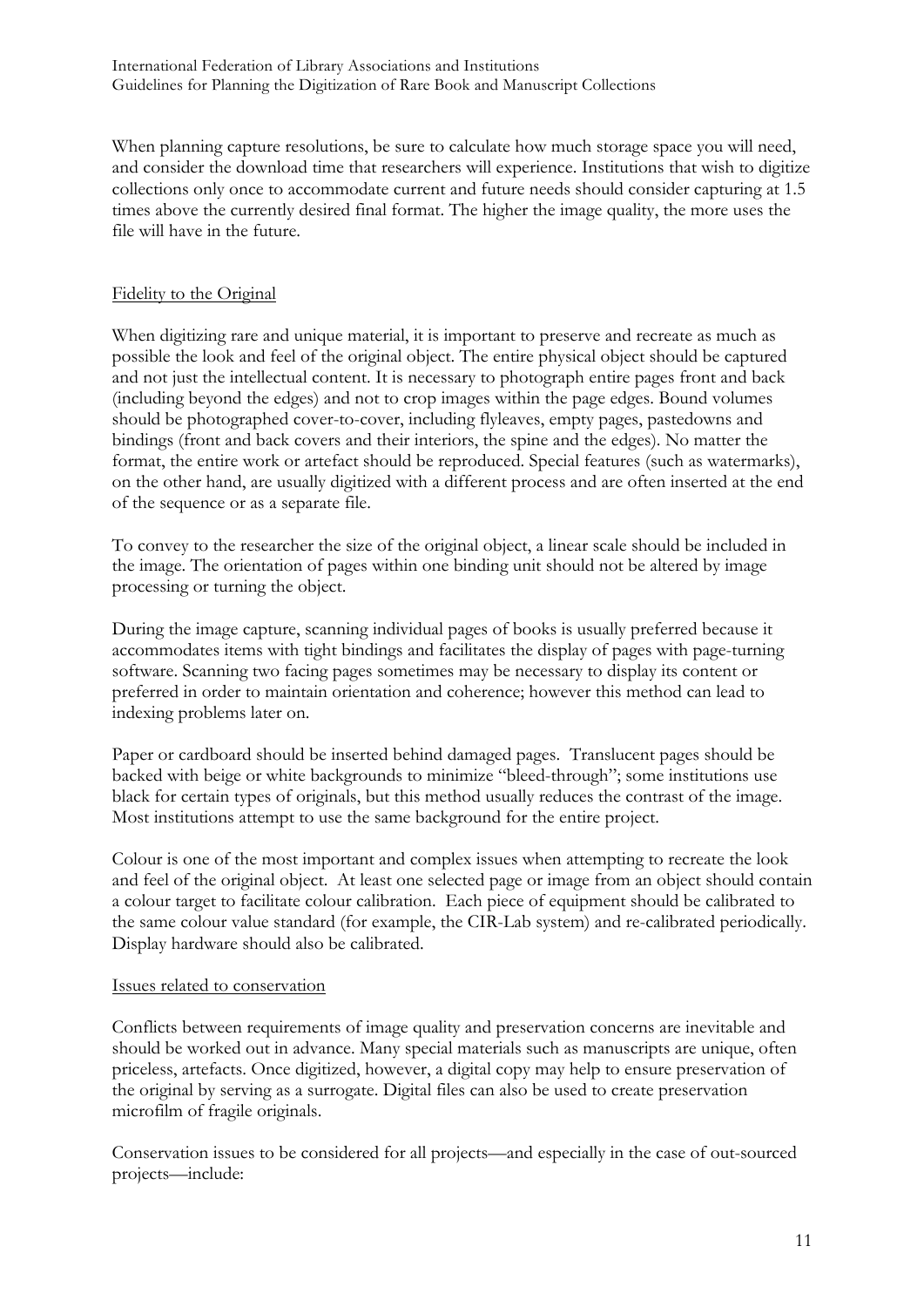When planning capture resolutions, be sure to calculate how much storage space you will need, and consider the download time that researchers will experience. Institutions that wish to digitize collections only once to accommodate current and future needs should consider capturing at 1.5 times above the currently desired final format. The higher the image quality, the more uses the file will have in the future.

#### Fidelity to the Original

When digitizing rare and unique material, it is important to preserve and recreate as much as possible the look and feel of the original object. The entire physical object should be captured and not just the intellectual content. It is necessary to photograph entire pages front and back (including beyond the edges) and not to crop images within the page edges. Bound volumes should be photographed cover-to-cover, including flyleaves, empty pages, pastedowns and bindings (front and back covers and their interiors, the spine and the edges). No matter the format, the entire work or artefact should be reproduced. Special features (such as watermarks), on the other hand, are usually digitized with a different process and are often inserted at the end of the sequence or as a separate file.

To convey to the researcher the size of the original object, a linear scale should be included in the image. The orientation of pages within one binding unit should not be altered by image processing or turning the object.

During the image capture, scanning individual pages of books is usually preferred because it accommodates items with tight bindings and facilitates the display of pages with page-turning software. Scanning two facing pages sometimes may be necessary to display its content or preferred in order to maintain orientation and coherence; however this method can lead to indexing problems later on.

Paper or cardboard should be inserted behind damaged pages. Translucent pages should be backed with beige or white backgrounds to minimize "bleed-through"; some institutions use black for certain types of originals, but this method usually reduces the contrast of the image. Most institutions attempt to use the same background for the entire project.

Colour is one of the most important and complex issues when attempting to recreate the look and feel of the original object. At least one selected page or image from an object should contain a colour target to facilitate colour calibration. Each piece of equipment should be calibrated to the same colour value standard (for example, the CIR-Lab system) and re-calibrated periodically. Display hardware should also be calibrated.

#### Issues related to conservation

Conflicts between requirements of image quality and preservation concerns are inevitable and should be worked out in advance. Many special materials such as manuscripts are unique, often priceless, artefacts. Once digitized, however, a digital copy may help to ensure preservation of the original by serving as a surrogate. Digital files can also be used to create preservation microfilm of fragile originals.

Conservation issues to be considered for all projects—and especially in the case of out-sourced projects—include: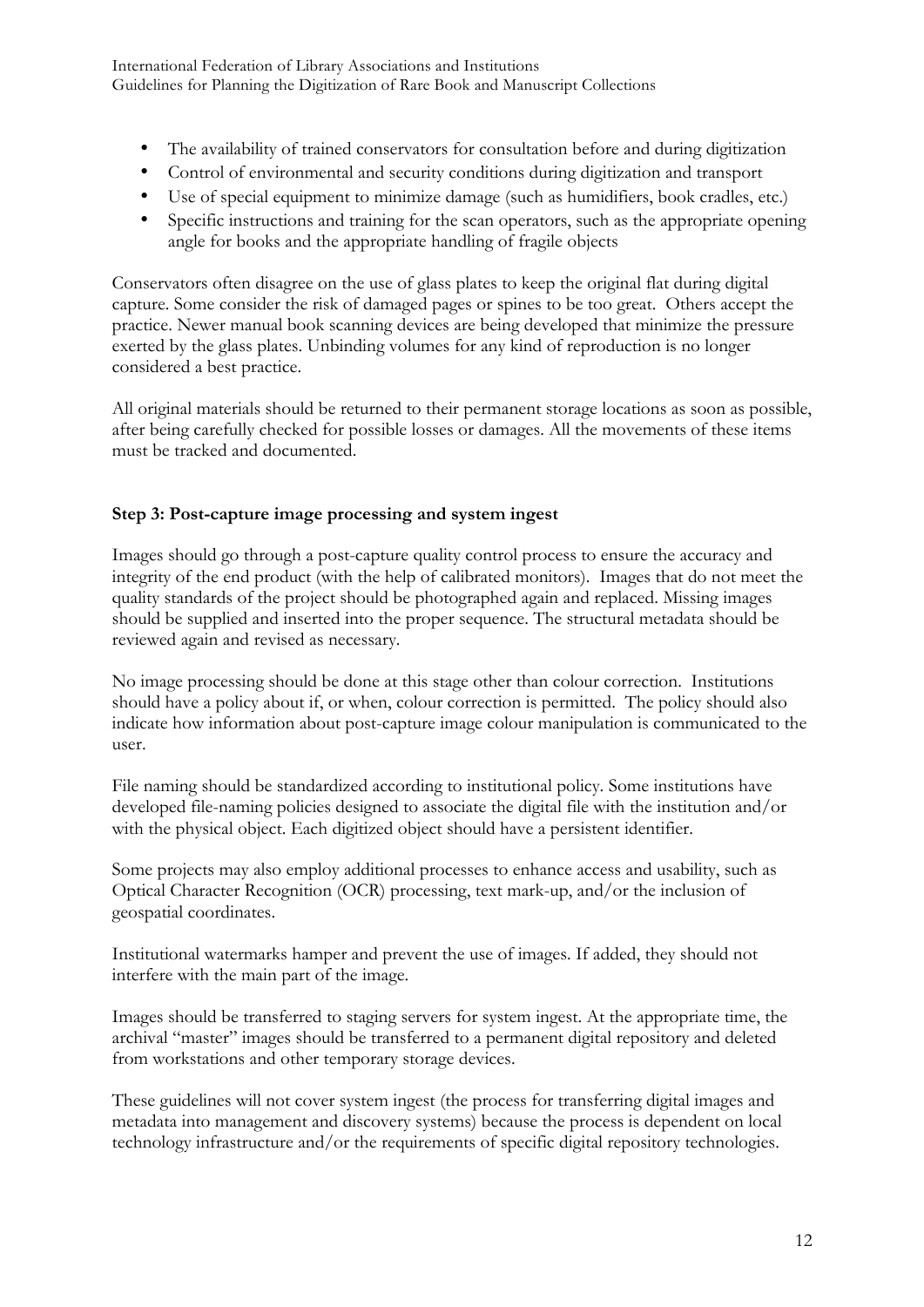- The availability of trained conservators for consultation before and during digitization
- Control of environmental and security conditions during digitization and transport
- Use of special equipment to minimize damage (such as humidifiers, book cradles, etc.)
- Specific instructions and training for the scan operators, such as the appropriate opening angle for books and the appropriate handling of fragile objects

Conservators often disagree on the use of glass plates to keep the original flat during digital capture. Some consider the risk of damaged pages or spines to be too great. Others accept the practice. Newer manual book scanning devices are being developed that minimize the pressure exerted by the glass plates. Unbinding volumes for any kind of reproduction is no longer considered a best practice.

All original materials should be returned to their permanent storage locations as soon as possible, after being carefully checked for possible losses or damages. All the movements of these items must be tracked and documented.

### **Step 3: Post-capture image processing and system ingest**

Images should go through a post-capture quality control process to ensure the accuracy and integrity of the end product (with the help of calibrated monitors). Images that do not meet the quality standards of the project should be photographed again and replaced. Missing images should be supplied and inserted into the proper sequence. The structural metadata should be reviewed again and revised as necessary.

No image processing should be done at this stage other than colour correction. Institutions should have a policy about if, or when, colour correction is permitted. The policy should also indicate how information about post-capture image colour manipulation is communicated to the user.

File naming should be standardized according to institutional policy. Some institutions have developed file-naming policies designed to associate the digital file with the institution and/or with the physical object. Each digitized object should have a persistent identifier.

Some projects may also employ additional processes to enhance access and usability, such as Optical Character Recognition (OCR) processing, text mark-up, and/or the inclusion of geospatial coordinates.

Institutional watermarks hamper and prevent the use of images. If added, they should not interfere with the main part of the image.

Images should be transferred to staging servers for system ingest. At the appropriate time, the archival "master" images should be transferred to a permanent digital repository and deleted from workstations and other temporary storage devices.

These guidelines will not cover system ingest (the process for transferring digital images and metadata into management and discovery systems) because the process is dependent on local technology infrastructure and/or the requirements of specific digital repository technologies.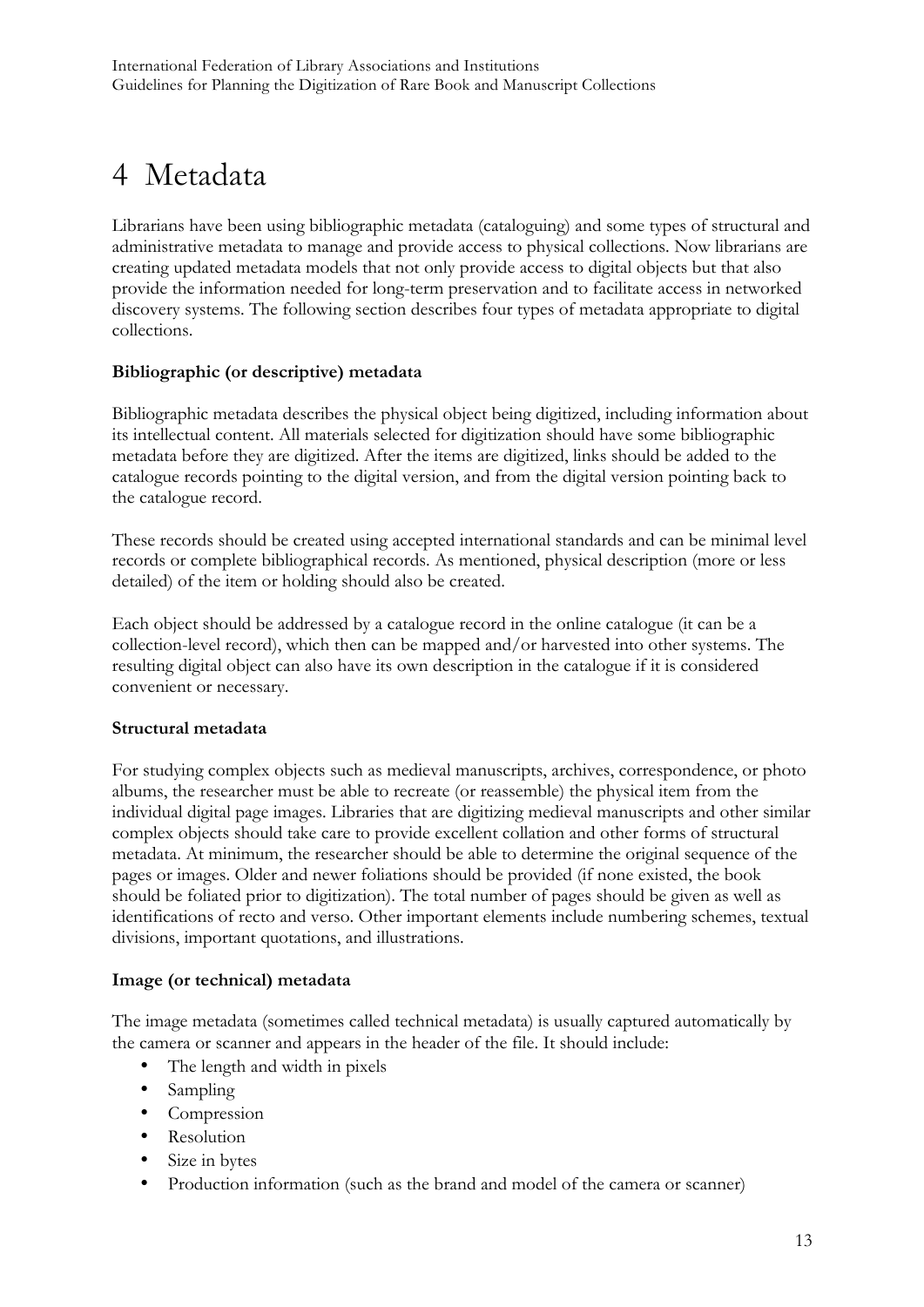## 4 Metadata

Librarians have been using bibliographic metadata (cataloguing) and some types of structural and administrative metadata to manage and provide access to physical collections. Now librarians are creating updated metadata models that not only provide access to digital objects but that also provide the information needed for long-term preservation and to facilitate access in networked discovery systems. The following section describes four types of metadata appropriate to digital collections.

#### **Bibliographic (or descriptive) metadata**

Bibliographic metadata describes the physical object being digitized, including information about its intellectual content. All materials selected for digitization should have some bibliographic metadata before they are digitized. After the items are digitized, links should be added to the catalogue records pointing to the digital version, and from the digital version pointing back to the catalogue record.

These records should be created using accepted international standards and can be minimal level records or complete bibliographical records. As mentioned, physical description (more or less detailed) of the item or holding should also be created.

Each object should be addressed by a catalogue record in the online catalogue (it can be a collection-level record), which then can be mapped and/or harvested into other systems. The resulting digital object can also have its own description in the catalogue if it is considered convenient or necessary.

#### **Structural metadata**

For studying complex objects such as medieval manuscripts, archives, correspondence, or photo albums, the researcher must be able to recreate (or reassemble) the physical item from the individual digital page images. Libraries that are digitizing medieval manuscripts and other similar complex objects should take care to provide excellent collation and other forms of structural metadata. At minimum, the researcher should be able to determine the original sequence of the pages or images. Older and newer foliations should be provided (if none existed, the book should be foliated prior to digitization). The total number of pages should be given as well as identifications of recto and verso. Other important elements include numbering schemes, textual divisions, important quotations, and illustrations.

#### **Image (or technical) metadata**

The image metadata (sometimes called technical metadata) is usually captured automatically by the camera or scanner and appears in the header of the file. It should include:

- The length and width in pixels
- Sampling
- Compression
- Resolution
- Size in bytes
- Production information (such as the brand and model of the camera or scanner)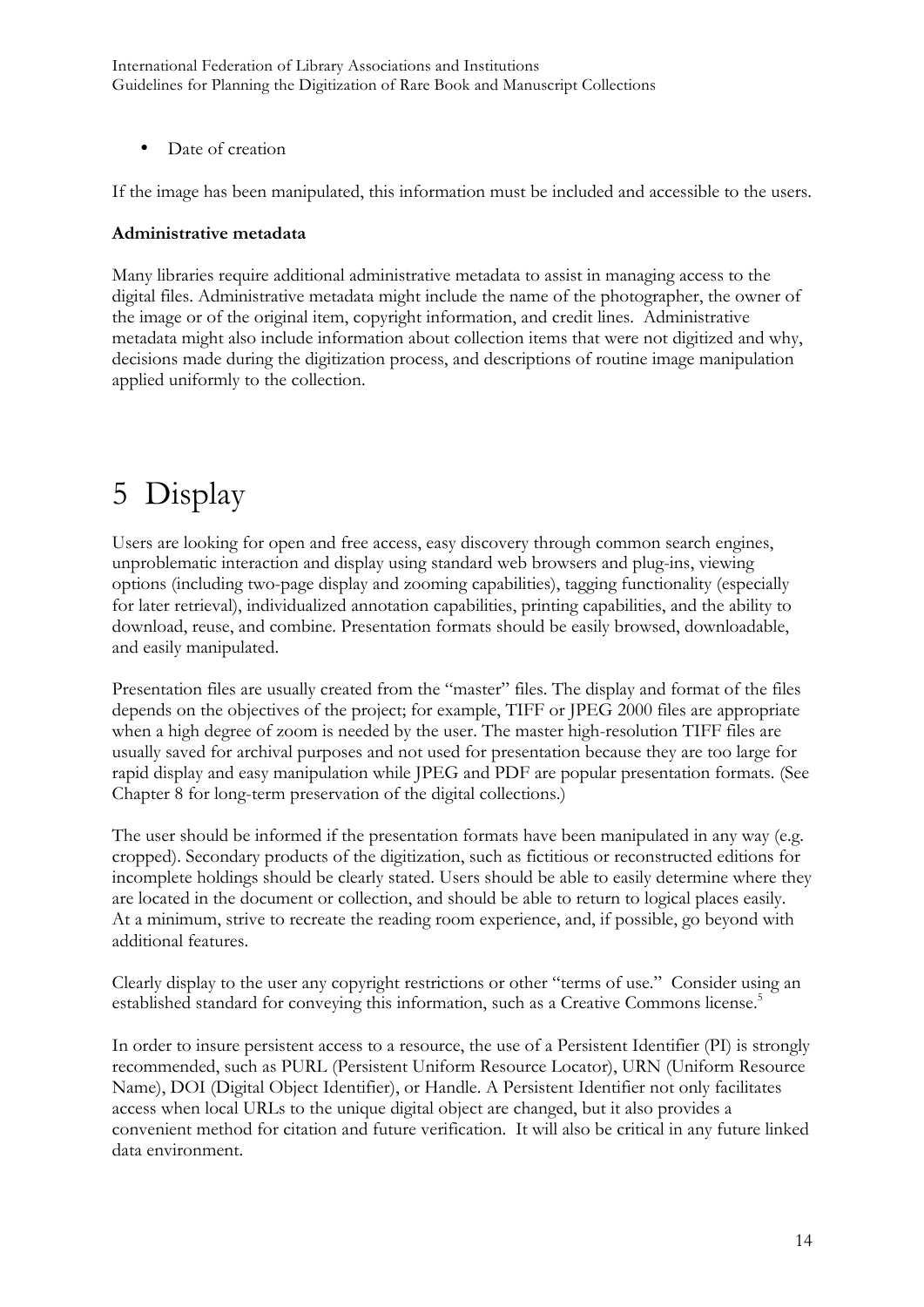International Federation of Library Associations and Institutions Guidelines for Planning the Digitization of Rare Book and Manuscript Collections

• Date of creation

If the image has been manipulated, this information must be included and accessible to the users.

#### **Administrative metadata**

Many libraries require additional administrative metadata to assist in managing access to the digital files. Administrative metadata might include the name of the photographer, the owner of the image or of the original item, copyright information, and credit lines. Administrative metadata might also include information about collection items that were not digitized and why, decisions made during the digitization process, and descriptions of routine image manipulation applied uniformly to the collection.

## 5 Display

Users are looking for open and free access, easy discovery through common search engines, unproblematic interaction and display using standard web browsers and plug-ins, viewing options (including two-page display and zooming capabilities), tagging functionality (especially for later retrieval), individualized annotation capabilities, printing capabilities, and the ability to download, reuse, and combine. Presentation formats should be easily browsed, downloadable, and easily manipulated.

Presentation files are usually created from the "master" files. The display and format of the files depends on the objectives of the project; for example, TIFF or JPEG 2000 files are appropriate when a high degree of zoom is needed by the user. The master high-resolution TIFF files are usually saved for archival purposes and not used for presentation because they are too large for rapid display and easy manipulation while JPEG and PDF are popular presentation formats. (See Chapter 8 for long-term preservation of the digital collections.)

The user should be informed if the presentation formats have been manipulated in any way (e.g. cropped). Secondary products of the digitization, such as fictitious or reconstructed editions for incomplete holdings should be clearly stated. Users should be able to easily determine where they are located in the document or collection, and should be able to return to logical places easily. At a minimum, strive to recreate the reading room experience, and, if possible, go beyond with additional features.

Clearly display to the user any copyright restrictions or other "terms of use." Consider using an established standard for conveying this information, such as a Creative Commons license.<sup>5</sup>

In order to insure persistent access to a resource, the use of a Persistent Identifier (PI) is strongly recommended, such as PURL (Persistent Uniform Resource Locator), URN (Uniform Resource Name), DOI (Digital Object Identifier), or Handle. A Persistent Identifier not only facilitates access when local URLs to the unique digital object are changed, but it also provides a convenient method for citation and future verification. It will also be critical in any future linked data environment.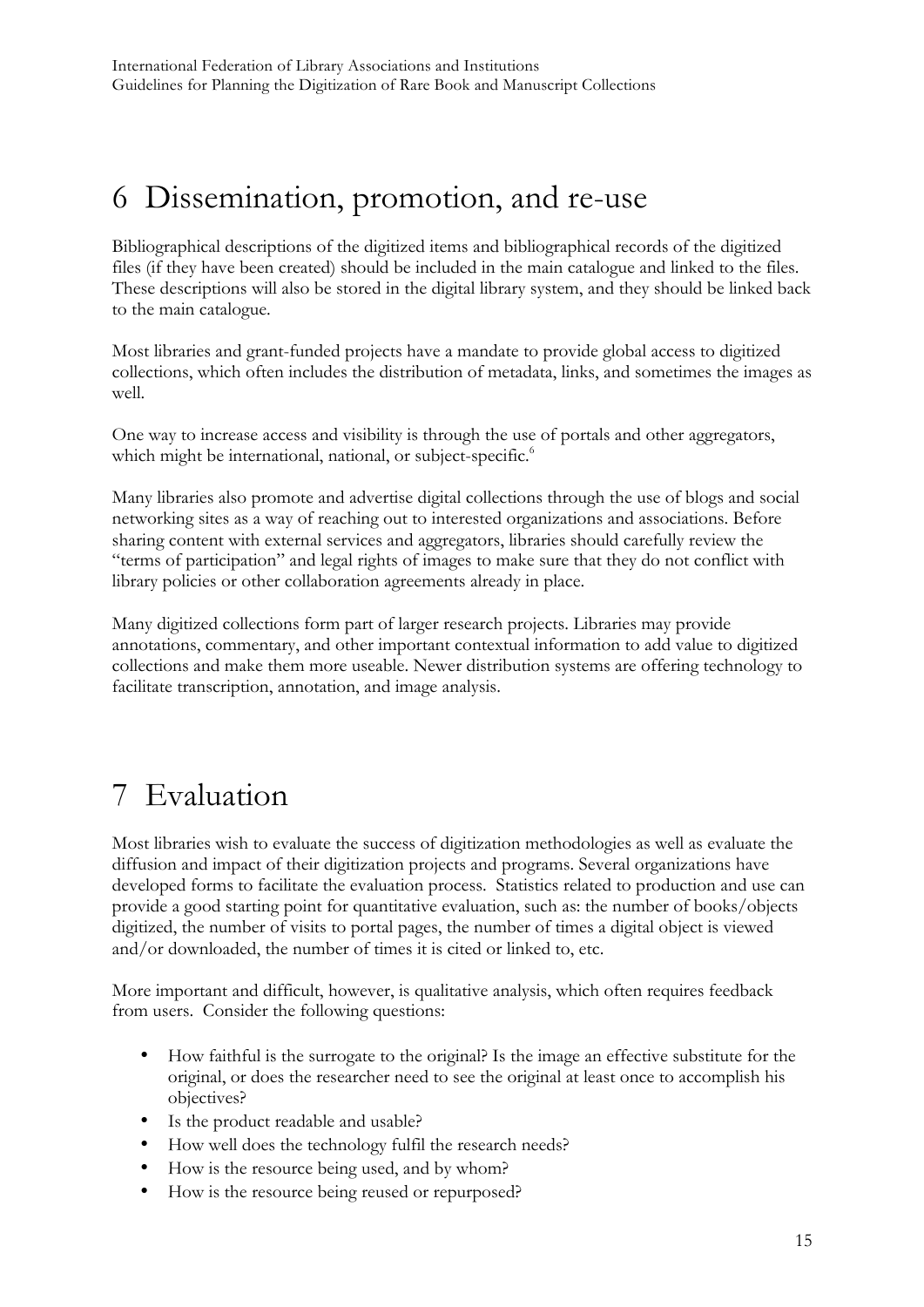## 6 Dissemination, promotion, and re-use

Bibliographical descriptions of the digitized items and bibliographical records of the digitized files (if they have been created) should be included in the main catalogue and linked to the files. These descriptions will also be stored in the digital library system, and they should be linked back to the main catalogue.

Most libraries and grant-funded projects have a mandate to provide global access to digitized collections, which often includes the distribution of metadata, links, and sometimes the images as well.

One way to increase access and visibility is through the use of portals and other aggregators, which might be international, national, or subject-specific.<sup>6</sup>

Many libraries also promote and advertise digital collections through the use of blogs and social networking sites as a way of reaching out to interested organizations and associations. Before sharing content with external services and aggregators, libraries should carefully review the "terms of participation" and legal rights of images to make sure that they do not conflict with library policies or other collaboration agreements already in place.

Many digitized collections form part of larger research projects. Libraries may provide annotations, commentary, and other important contextual information to add value to digitized collections and make them more useable. Newer distribution systems are offering technology to facilitate transcription, annotation, and image analysis.

# 7 Evaluation

Most libraries wish to evaluate the success of digitization methodologies as well as evaluate the diffusion and impact of their digitization projects and programs. Several organizations have developed forms to facilitate the evaluation process. Statistics related to production and use can provide a good starting point for quantitative evaluation, such as: the number of books/objects digitized, the number of visits to portal pages, the number of times a digital object is viewed and/or downloaded, the number of times it is cited or linked to, etc.

More important and difficult, however, is qualitative analysis, which often requires feedback from users. Consider the following questions:

- How faithful is the surrogate to the original? Is the image an effective substitute for the original, or does the researcher need to see the original at least once to accomplish his objectives?
- Is the product readable and usable?
- How well does the technology fulfil the research needs?
- How is the resource being used, and by whom?
- How is the resource being reused or repurposed?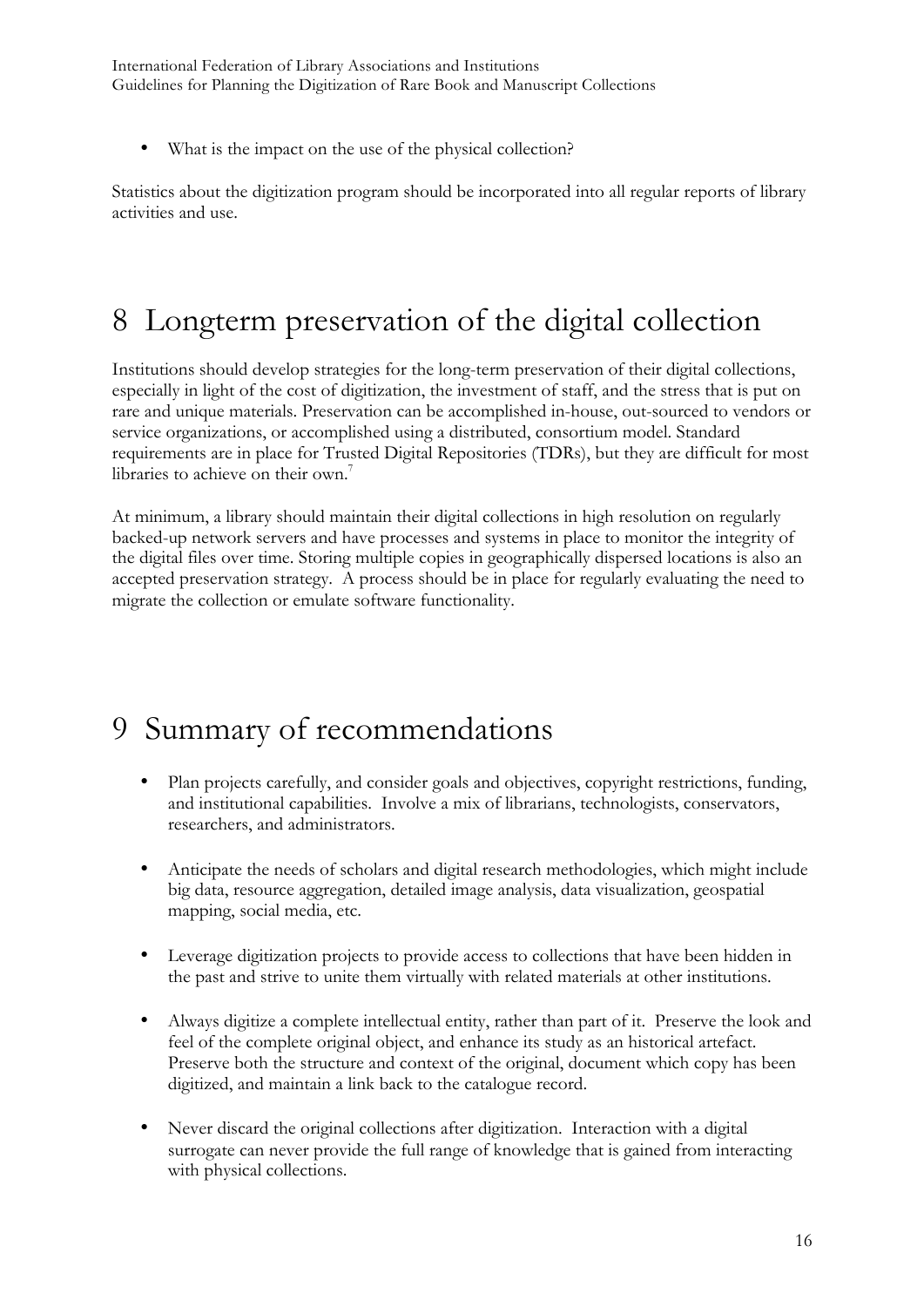• What is the impact on the use of the physical collection?

Statistics about the digitization program should be incorporated into all regular reports of library activities and use.

# 8 Longterm preservation of the digital collection

Institutions should develop strategies for the long-term preservation of their digital collections, especially in light of the cost of digitization, the investment of staff, and the stress that is put on rare and unique materials. Preservation can be accomplished in-house, out-sourced to vendors or service organizations, or accomplished using a distributed, consortium model. Standard requirements are in place for Trusted Digital Repositories (TDRs), but they are difficult for most libraries to achieve on their own.<sup>7</sup>

At minimum, a library should maintain their digital collections in high resolution on regularly backed-up network servers and have processes and systems in place to monitor the integrity of the digital files over time. Storing multiple copies in geographically dispersed locations is also an accepted preservation strategy. A process should be in place for regularly evaluating the need to migrate the collection or emulate software functionality.

# 9 Summary of recommendations

- Plan projects carefully, and consider goals and objectives, copyright restrictions, funding, and institutional capabilities. Involve a mix of librarians, technologists, conservators, researchers, and administrators.
- Anticipate the needs of scholars and digital research methodologies, which might include big data, resource aggregation, detailed image analysis, data visualization, geospatial mapping, social media, etc.
- Leverage digitization projects to provide access to collections that have been hidden in the past and strive to unite them virtually with related materials at other institutions.
- Always digitize a complete intellectual entity, rather than part of it. Preserve the look and feel of the complete original object, and enhance its study as an historical artefact. Preserve both the structure and context of the original, document which copy has been digitized, and maintain a link back to the catalogue record.
- Never discard the original collections after digitization. Interaction with a digital surrogate can never provide the full range of knowledge that is gained from interacting with physical collections.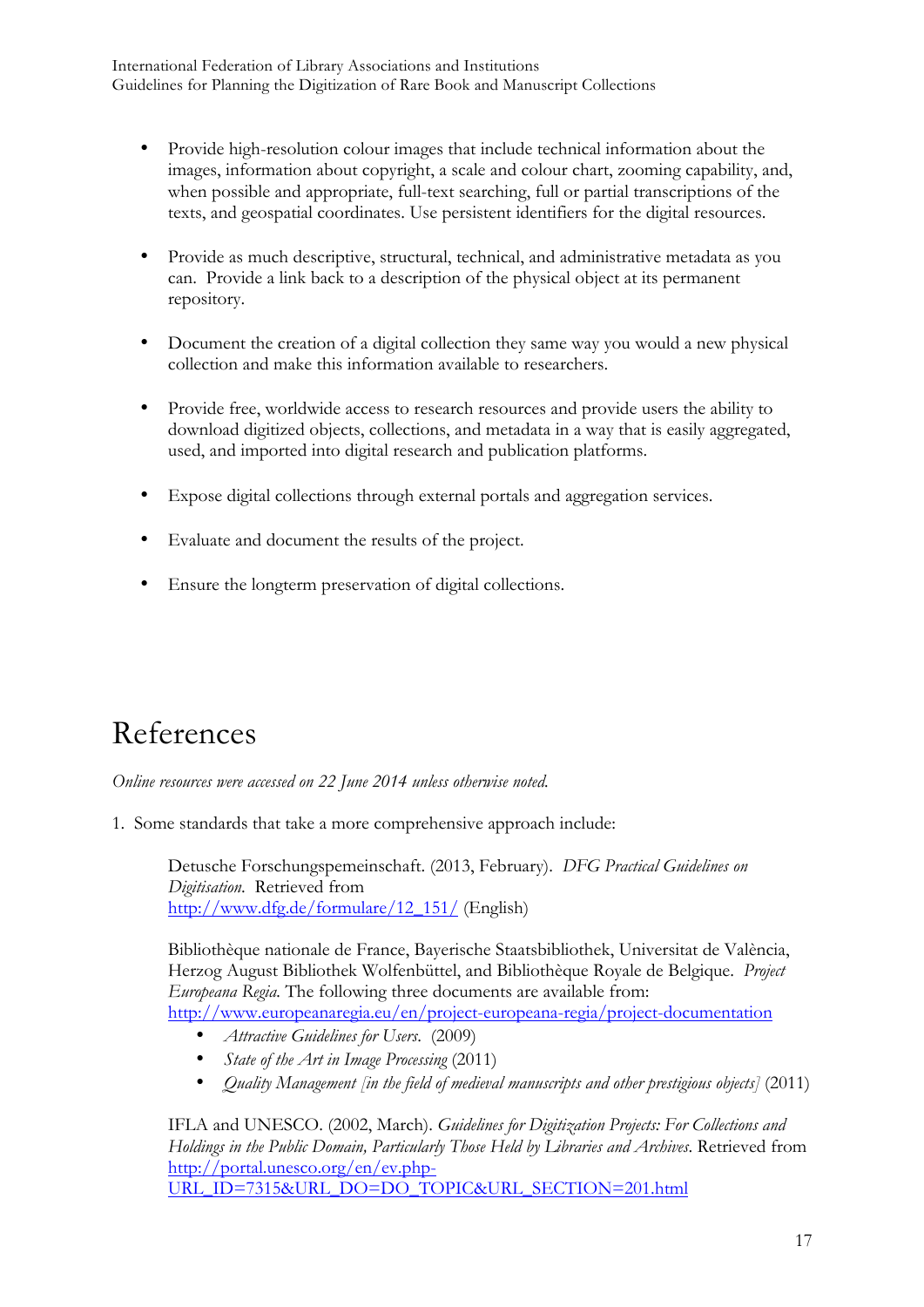- Provide high-resolution colour images that include technical information about the images, information about copyright, a scale and colour chart, zooming capability, and, when possible and appropriate, full-text searching, full or partial transcriptions of the texts, and geospatial coordinates. Use persistent identifiers for the digital resources.
- Provide as much descriptive, structural, technical, and administrative metadata as you can. Provide a link back to a description of the physical object at its permanent repository.
- Document the creation of a digital collection they same way you would a new physical collection and make this information available to researchers.
- Provide free, worldwide access to research resources and provide users the ability to download digitized objects, collections, and metadata in a way that is easily aggregated, used, and imported into digital research and publication platforms.
- Expose digital collections through external portals and aggregation services.
- Evaluate and document the results of the project.
- Ensure the longterm preservation of digital collections.

## References

*Online resources were accessed on 22 June 2014 unless otherwise noted.*

1. Some standards that take a more comprehensive approach include:

Detusche Forschungspemeinschaft. (2013, February). *DFG Practical Guidelines on Digitisation*. Retrieved from http://www.dfg.de/formulare/12\_151/ (English)

Bibliothèque nationale de France, Bayerische Staatsbibliothek, Universitat de València, Herzog August Bibliothek Wolfenbüttel, and Bibliothèque Royale de Belgique. *Project Europeana Regia.* The following three documents are available from: http://www.europeanaregia.eu/en/project-europeana-regia/project-documentation

- *Attractive Guidelines for Users*. (2009)
- *State of the Art in Image Processing (2011)*
- *Quality Management [in the field of medieval manuscripts and other prestigious objects]* (2011)

IFLA and UNESCO. (2002, March). *Guidelines for Digitization Projects: For Collections and Holdings in the Public Domain, Particularly Those Held by Libraries and Archives*. Retrieved from http://portal.unesco.org/en/ev.php-URL\_ID=7315&URL\_DO=DO\_TOPIC&URL\_SECTION=201.html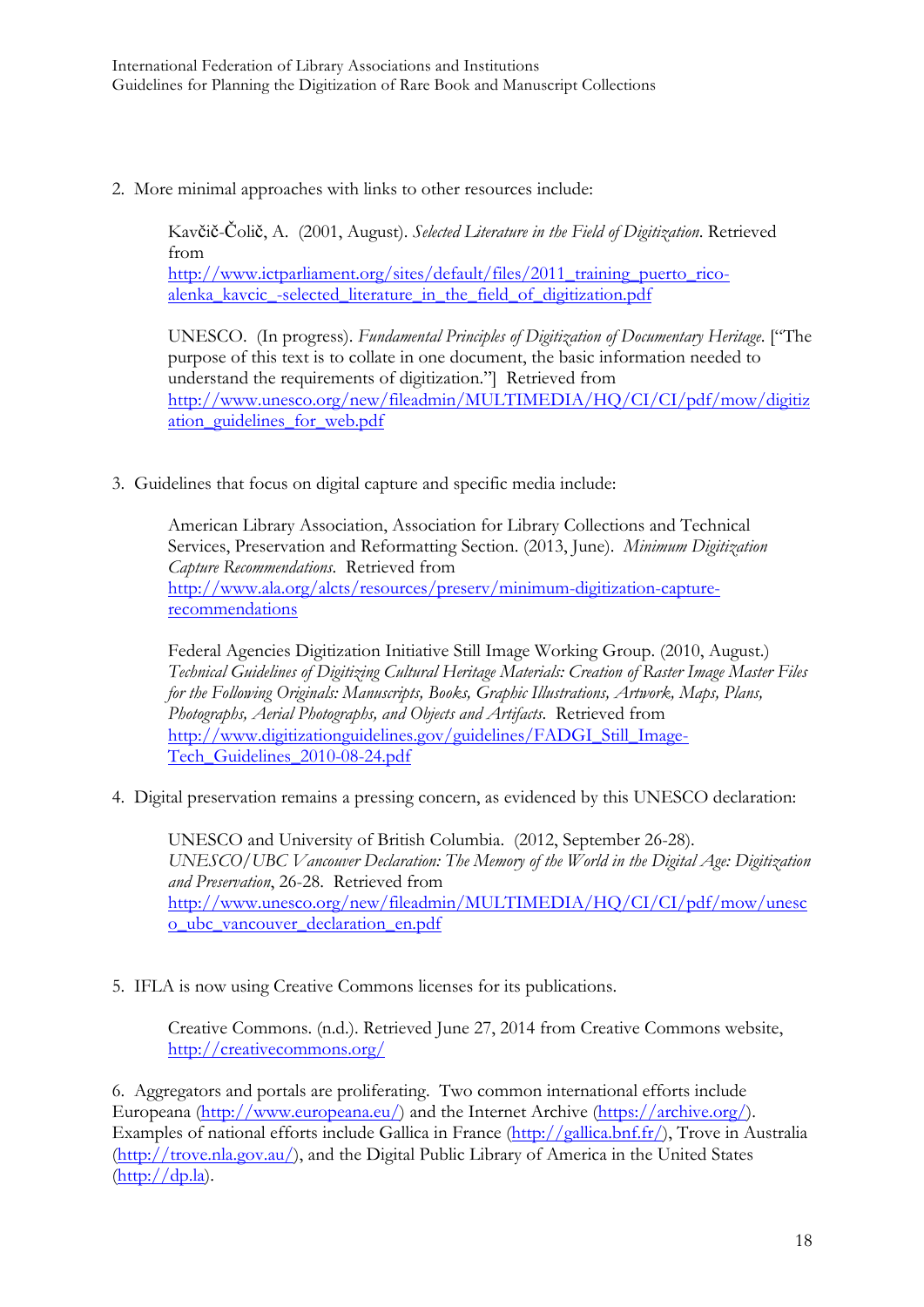2. More minimal approaches with links to other resources include:

Kavčič-Čolič, A. (2001, August). *Selected Literature in the Field of Digitization*. Retrieved from http://www.ictparliament.org/sites/default/files/2011 training puerto ricoalenka\_kavcic\_-selected\_literature\_in\_the\_field\_of\_digitization.pdf

UNESCO. (In progress). *Fundamental Principles of Digitization of Documentary Heritage*. ["The purpose of this text is to collate in one document, the basic information needed to understand the requirements of digitization."] Retrieved from http://www.unesco.org/new/fileadmin/MULTIMEDIA/HQ/CI/CI/pdf/mow/digitiz ation\_guidelines\_for\_web.pdf

3. Guidelines that focus on digital capture and specific media include:

American Library Association, Association for Library Collections and Technical Services, Preservation and Reformatting Section. (2013, June). *Minimum Digitization Capture Recommendations*. Retrieved from http://www.ala.org/alcts/resources/preserv/minimum-digitization-capturerecommendations

Federal Agencies Digitization Initiative Still Image Working Group. (2010, August.) *Technical Guidelines of Digitizing Cultural Heritage Materials: Creation of Raster Image Master Files for the Following Originals: Manuscripts, Books, Graphic Illustrations, Artwork, Maps, Plans, Photographs, Aerial Photographs, and Objects and Artifacts*. Retrieved from http://www.digitizationguidelines.gov/guidelines/FADGI\_Still\_Image-Tech Guidelines 2010-08-24.pdf

4. Digital preservation remains a pressing concern, as evidenced by this UNESCO declaration:

UNESCO and University of British Columbia. (2012, September 26-28). *UNESCO/UBC Vancouver Declaration: The Memory of the World in the Digital Age: Digitization and Preservation*, 26-28. Retrieved from http://www.unesco.org/new/fileadmin/MULTIMEDIA/HQ/CI/CI/pdf/mow/unesc o\_ubc\_vancouver\_declaration\_en.pdf

5. IFLA is now using Creative Commons licenses for its publications.

Creative Commons. (n.d.). Retrieved June 27, 2014 from Creative Commons website, http://creativecommons.org/

6. Aggregators and portals are proliferating. Two common international efforts include Europeana (http://www.europeana.eu/) and the Internet Archive (https://archive.org/). Examples of national efforts include Gallica in France (http://gallica.bnf.fr/), Trove in Australia (http://trove.nla.gov.au/), and the Digital Public Library of America in the United States  $(\text{http://dp.la}).$